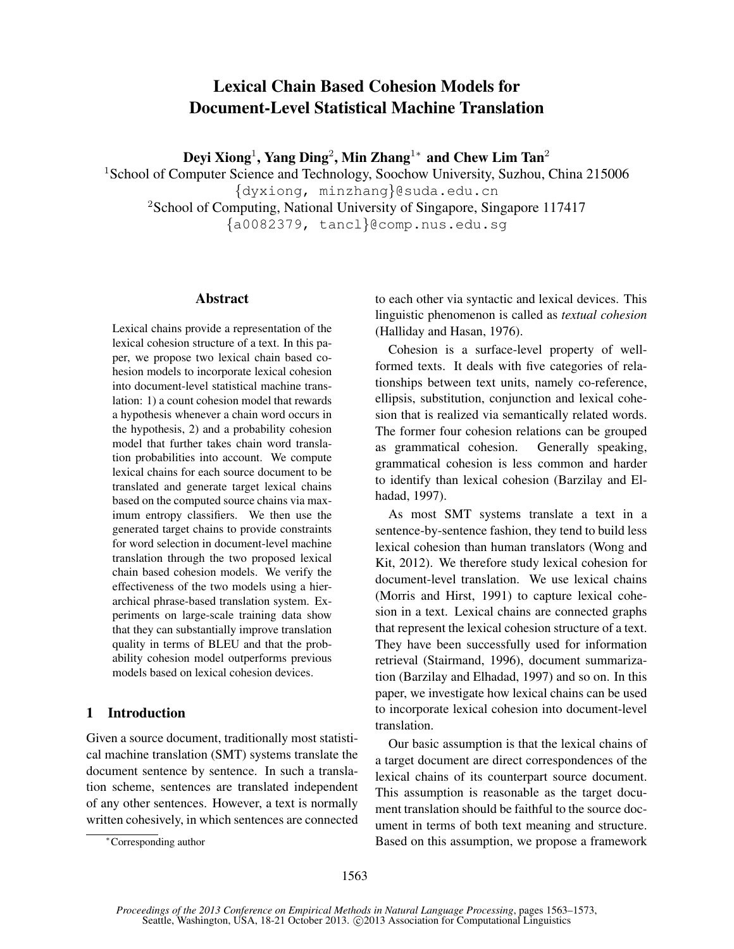# Lexical Chain Based Cohesion Models for Document-Level Statistical Machine Translation

Deyi Xiong $^1$ , Yang Ding $^2$ , Min Zhang $^{1*}$  and Chew Lim Tan $^2$ 

<sup>1</sup>School of Computer Science and Technology, Soochow University, Suzhou, China 215006 {dyxiong, minzhang}@suda.edu.cn <sup>2</sup>School of Computing, National University of Singapore, Singapore 117417 {a0082379, tancl}@comp.nus.edu.sg

#### Abstract

Lexical chains provide a representation of the lexical cohesion structure of a text. In this paper, we propose two lexical chain based cohesion models to incorporate lexical cohesion into document-level statistical machine translation: 1) a count cohesion model that rewards a hypothesis whenever a chain word occurs in the hypothesis, 2) and a probability cohesion model that further takes chain word translation probabilities into account. We compute lexical chains for each source document to be translated and generate target lexical chains based on the computed source chains via maximum entropy classifiers. We then use the generated target chains to provide constraints for word selection in document-level machine translation through the two proposed lexical chain based cohesion models. We verify the effectiveness of the two models using a hierarchical phrase-based translation system. Experiments on large-scale training data show that they can substantially improve translation quality in terms of BLEU and that the probability cohesion model outperforms previous models based on lexical cohesion devices.

# 1 Introduction

Given a source document, traditionally most statistical machine translation (SMT) systems translate the document sentence by sentence. In such a translation scheme, sentences are translated independent of any other sentences. However, a text is normally written cohesively, in which sentences are connected to each other via syntactic and lexical devices. This linguistic phenomenon is called as *textual cohesion* (Halliday and Hasan, 1976).

Cohesion is a surface-level property of wellformed texts. It deals with five categories of relationships between text units, namely co-reference, ellipsis, substitution, conjunction and lexical cohesion that is realized via semantically related words. The former four cohesion relations can be grouped as grammatical cohesion. Generally speaking, grammatical cohesion is less common and harder to identify than lexical cohesion (Barzilay and Elhadad, 1997).

As most SMT systems translate a text in a sentence-by-sentence fashion, they tend to build less lexical cohesion than human translators (Wong and Kit, 2012). We therefore study lexical cohesion for document-level translation. We use lexical chains (Morris and Hirst, 1991) to capture lexical cohesion in a text. Lexical chains are connected graphs that represent the lexical cohesion structure of a text. They have been successfully used for information retrieval (Stairmand, 1996), document summarization (Barzilay and Elhadad, 1997) and so on. In this paper, we investigate how lexical chains can be used to incorporate lexical cohesion into document-level translation.

Our basic assumption is that the lexical chains of a target document are direct correspondences of the lexical chains of its counterpart source document. This assumption is reasonable as the target document translation should be faithful to the source document in terms of both text meaning and structure. Based on this assumption, we propose a framework

<sup>∗</sup>Corresponding author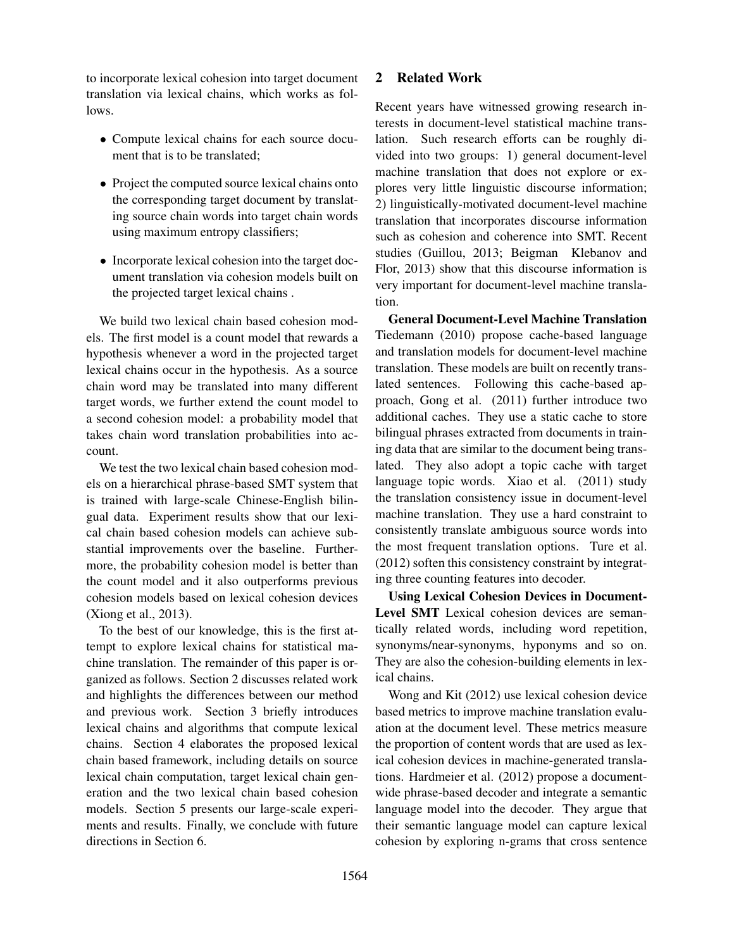to incorporate lexical cohesion into target document translation via lexical chains, which works as follows.

- Compute lexical chains for each source document that is to be translated;
- Project the computed source lexical chains onto the corresponding target document by translating source chain words into target chain words using maximum entropy classifiers;
- Incorporate lexical cohesion into the target document translation via cohesion models built on the projected target lexical chains .

We build two lexical chain based cohesion models. The first model is a count model that rewards a hypothesis whenever a word in the projected target lexical chains occur in the hypothesis. As a source chain word may be translated into many different target words, we further extend the count model to a second cohesion model: a probability model that takes chain word translation probabilities into account.

We test the two lexical chain based cohesion models on a hierarchical phrase-based SMT system that is trained with large-scale Chinese-English bilingual data. Experiment results show that our lexical chain based cohesion models can achieve substantial improvements over the baseline. Furthermore, the probability cohesion model is better than the count model and it also outperforms previous cohesion models based on lexical cohesion devices (Xiong et al., 2013).

To the best of our knowledge, this is the first attempt to explore lexical chains for statistical machine translation. The remainder of this paper is organized as follows. Section 2 discusses related work and highlights the differences between our method and previous work. Section 3 briefly introduces lexical chains and algorithms that compute lexical chains. Section 4 elaborates the proposed lexical chain based framework, including details on source lexical chain computation, target lexical chain generation and the two lexical chain based cohesion models. Section 5 presents our large-scale experiments and results. Finally, we conclude with future directions in Section 6.

# 2 Related Work

Recent years have witnessed growing research interests in document-level statistical machine translation. Such research efforts can be roughly divided into two groups: 1) general document-level machine translation that does not explore or explores very little linguistic discourse information; 2) linguistically-motivated document-level machine translation that incorporates discourse information such as cohesion and coherence into SMT. Recent studies (Guillou, 2013; Beigman Klebanov and Flor, 2013) show that this discourse information is very important for document-level machine translation.

General Document-Level Machine Translation Tiedemann (2010) propose cache-based language and translation models for document-level machine translation. These models are built on recently translated sentences. Following this cache-based approach, Gong et al. (2011) further introduce two additional caches. They use a static cache to store bilingual phrases extracted from documents in training data that are similar to the document being translated. They also adopt a topic cache with target language topic words. Xiao et al. (2011) study the translation consistency issue in document-level machine translation. They use a hard constraint to consistently translate ambiguous source words into the most frequent translation options. Ture et al. (2012) soften this consistency constraint by integrating three counting features into decoder.

Using Lexical Cohesion Devices in Document-Level SMT Lexical cohesion devices are semantically related words, including word repetition, synonyms/near-synonyms, hyponyms and so on. They are also the cohesion-building elements in lexical chains.

Wong and Kit (2012) use lexical cohesion device based metrics to improve machine translation evaluation at the document level. These metrics measure the proportion of content words that are used as lexical cohesion devices in machine-generated translations. Hardmeier et al. (2012) propose a documentwide phrase-based decoder and integrate a semantic language model into the decoder. They argue that their semantic language model can capture lexical cohesion by exploring n-grams that cross sentence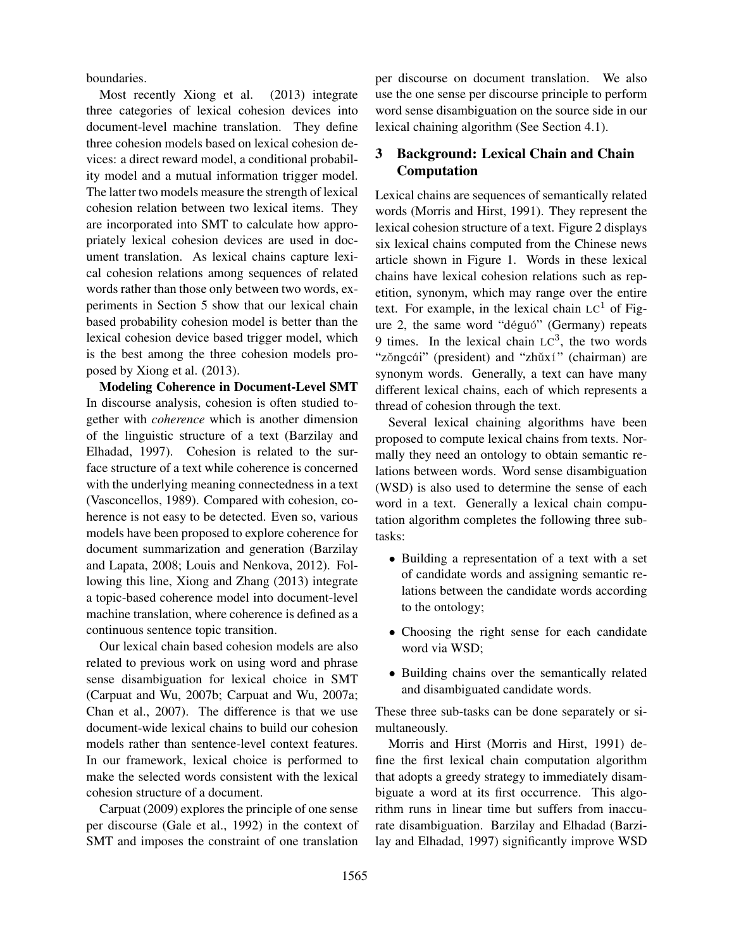boundaries.

Most recently Xiong et al. (2013) integrate three categories of lexical cohesion devices into document-level machine translation. They define three cohesion models based on lexical cohesion devices: a direct reward model, a conditional probability model and a mutual information trigger model. The latter two models measure the strength of lexical cohesion relation between two lexical items. They are incorporated into SMT to calculate how appropriately lexical cohesion devices are used in document translation. As lexical chains capture lexical cohesion relations among sequences of related words rather than those only between two words, experiments in Section 5 show that our lexical chain based probability cohesion model is better than the lexical cohesion device based trigger model, which is the best among the three cohesion models proposed by Xiong et al. (2013).

Modeling Coherence in Document-Level SMT In discourse analysis, cohesion is often studied together with *coherence* which is another dimension of the linguistic structure of a text (Barzilay and Elhadad, 1997). Cohesion is related to the surface structure of a text while coherence is concerned with the underlying meaning connectedness in a text (Vasconcellos, 1989). Compared with cohesion, coherence is not easy to be detected. Even so, various models have been proposed to explore coherence for document summarization and generation (Barzilay and Lapata, 2008; Louis and Nenkova, 2012). Following this line, Xiong and Zhang (2013) integrate a topic-based coherence model into document-level machine translation, where coherence is defined as a continuous sentence topic transition.

Our lexical chain based cohesion models are also related to previous work on using word and phrase sense disambiguation for lexical choice in SMT (Carpuat and Wu, 2007b; Carpuat and Wu, 2007a; Chan et al., 2007). The difference is that we use document-wide lexical chains to build our cohesion models rather than sentence-level context features. In our framework, lexical choice is performed to make the selected words consistent with the lexical cohesion structure of a document.

Carpuat (2009) explores the principle of one sense per discourse (Gale et al., 1992) in the context of SMT and imposes the constraint of one translation per discourse on document translation. We also use the one sense per discourse principle to perform word sense disambiguation on the source side in our lexical chaining algorithm (See Section 4.1).

# 3 Background: Lexical Chain and Chain Computation

Lexical chains are sequences of semantically related words (Morris and Hirst, 1991). They represent the lexical cohesion structure of a text. Figure 2 displays six lexical chains computed from the Chinese news article shown in Figure 1. Words in these lexical chains have lexical cohesion relations such as repetition, synonym, which may range over the entire text. For example, in the lexical chain  $LC<sup>1</sup>$  of Figure 2, the same word "déguó" (Germany) repeats 9 times. In the lexical chain  $LC^3$ , the two words "zǒngcái" (president) and "zhǔxí" (chairman) are synonym words. Generally, a text can have many different lexical chains, each of which represents a thread of cohesion through the text.

Several lexical chaining algorithms have been proposed to compute lexical chains from texts. Normally they need an ontology to obtain semantic relations between words. Word sense disambiguation (WSD) is also used to determine the sense of each word in a text. Generally a lexical chain computation algorithm completes the following three subtasks:

- Building a representation of a text with a set of candidate words and assigning semantic relations between the candidate words according to the ontology;
- Choosing the right sense for each candidate word via WSD;
- Building chains over the semantically related and disambiguated candidate words.

These three sub-tasks can be done separately or simultaneously.

Morris and Hirst (Morris and Hirst, 1991) define the first lexical chain computation algorithm that adopts a greedy strategy to immediately disambiguate a word at its first occurrence. This algorithm runs in linear time but suffers from inaccurate disambiguation. Barzilay and Elhadad (Barzilay and Elhadad, 1997) significantly improve WSD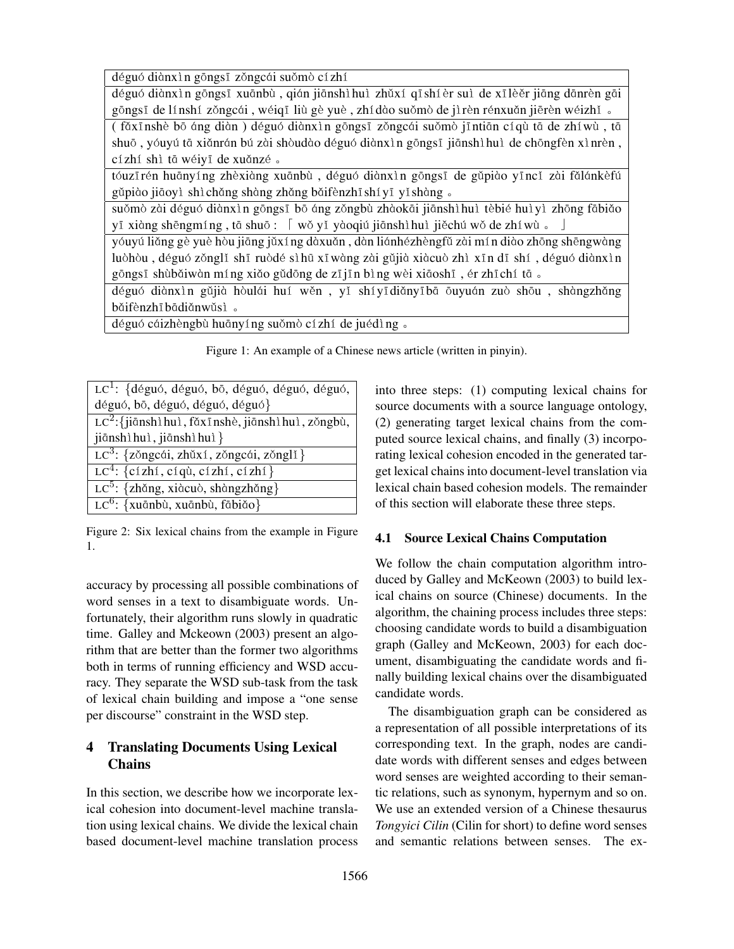déguó diànxìn gōngsī zǒngcái suǒmò cízhí

déguó diànxìn gōngsī xuānbù, qián jiānshìhuì zhǔxí qīshíèr suì de xīlèěr jiāng dānrèn gāi gōngsī de línshí zŏngcái, wéiqī liù gè yuè, zhídào suŏmò de jìrèn rénxuǎn jiērèn wéizhǐ.

( făxīnshè bō áng diàn ) déguó diànxìn gōngsī zǒngcái suǒmò jīntiān cí qù tā de zhíwù, tā shuō , yóuyú tā xiănrán bú zài shòudào déguó diànxìn gōngsī jiānshìhuì de chōngfèn xìnrèn , cízhí shì tā wéiyī de xuǎnzé 。

tóuzīrén huānyíng zhèxiàng xuānbù, déguó diànxìn gōngsī de gǔpiào yīncǐ zài fǎlánkèfú gǔpiào jiāoyì shì chǎng shàng zhǎng bǎifènzhī shí yī yǐ shàng 。

suǒmò zài déguó diànxìn gōngsī bō áng zǒngbù zhàokāi jiānshìhuì tèbié huìyì zhōng fābiǎo yī xiàng shēngmíng , tā shuō :  $\lceil w\delta y\rceil y\delta$ oqiú jiānshìhuì jiěchú w $\delta$  de zhíwù  $\delta$   $\lceil s\rceil$ 

yóuyú liăng gè yuè hòu jiāng jǔxí ng dàxuǎn, dàn liánhézhèngfǔ zài mín diào zhōng shēngwàng luòhòu, déguó zŏnglǐ shī ruòdé sìhū xīwàng zài gǔjià xiàcuò zhì xīn dī shí, déguó diànxìn gōngsī shùbǎiwàn míng xiǎo gǔdōng de zījīn bìng wèi xiāoshī, ér zhīchí tā 。

déguó diànxìn gǔjià hòulái huí wěn, yǐ shíyī diǎnyī bā ōuyuán zuò shōu, shàngzhǎng băifènzhī bādiǎnwǔsì 。

déguó cáizhèngbù huānyíng suǒmò cízhí de juédìng .

Figure 1: An example of a Chinese news article (written in pinyin).

| $LC1$ : {déguó, déguó, bō, déguó, déguó, déguó,       |
|-------------------------------------------------------|
| déguó, bō, déguó, déguó, déguó}                       |
| $LC^2$ : {jiānshì huì, fǎxīnshè, jiānshì huì, zǒngbù, |
| jiānshì huì, jiānshì huì }                            |
| LC <sup>3</sup> : {zǒngcái, zhǔxí, zǒngcái, zǒnglǐ}   |
| $LC4$ : {cízhí, cíqù, cízhí, cízhí}                   |
| $LC^5$ : {zhǎng, xiàcuò, shàngzhǎng}                  |
| LC <sup>6</sup> : {xuānbù, xuānbù, fābiǎo}            |

Figure 2: Six lexical chains from the example in Figure 1.

accuracy by processing all possible combinations of word senses in a text to disambiguate words. Unfortunately, their algorithm runs slowly in quadratic time. Galley and Mckeown (2003) present an algorithm that are better than the former two algorithms both in terms of running efficiency and WSD accuracy. They separate the WSD sub-task from the task of lexical chain building and impose a "one sense per discourse" constraint in the WSD step.

# 4 Translating Documents Using Lexical **Chains**

In this section, we describe how we incorporate lexical cohesion into document-level machine translation using lexical chains. We divide the lexical chain based document-level machine translation process into three steps: (1) computing lexical chains for source documents with a source language ontology, (2) generating target lexical chains from the computed source lexical chains, and finally (3) incorporating lexical cohesion encoded in the generated target lexical chains into document-level translation via lexical chain based cohesion models. The remainder of this section will elaborate these three steps.

#### 4.1 Source Lexical Chains Computation

We follow the chain computation algorithm introduced by Galley and McKeown (2003) to build lexical chains on source (Chinese) documents. In the algorithm, the chaining process includes three steps: choosing candidate words to build a disambiguation graph (Galley and McKeown, 2003) for each document, disambiguating the candidate words and finally building lexical chains over the disambiguated candidate words.

The disambiguation graph can be considered as a representation of all possible interpretations of its corresponding text. In the graph, nodes are candidate words with different senses and edges between word senses are weighted according to their semantic relations, such as synonym, hypernym and so on. We use an extended version of a Chinese thesaurus *Tongyici Cilin* (Cilin for short) to define word senses and semantic relations between senses. The ex-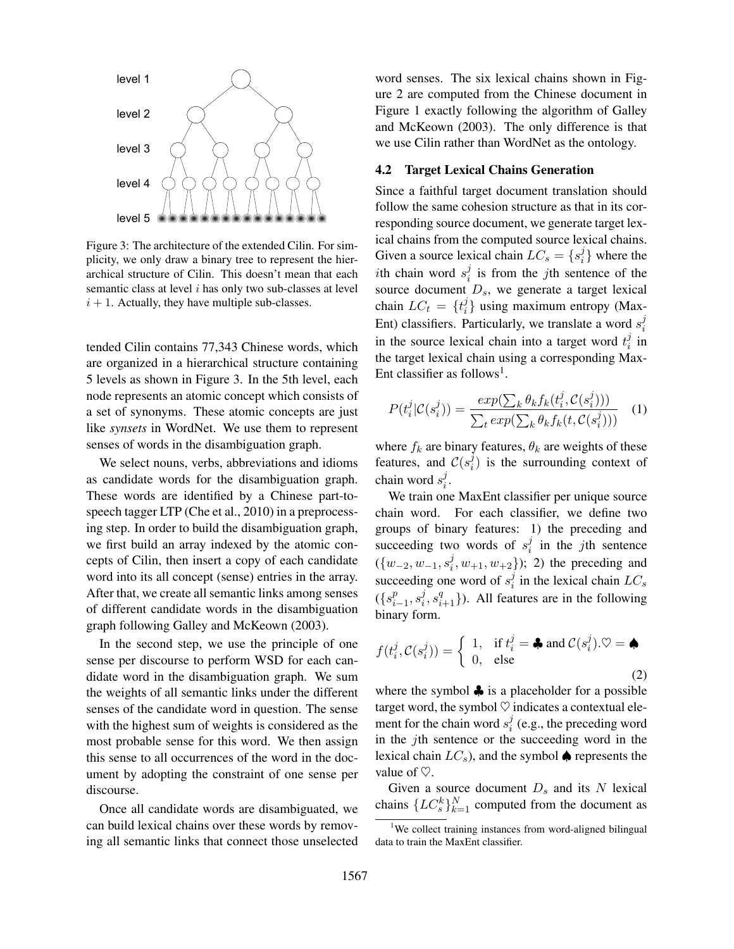

Figure 3: The architecture of the extended Cilin. For simplicity, we only draw a binary tree to represent the hierarchical structure of Cilin. This doesn't mean that each semantic class at level i has only two sub-classes at level  $i + 1$ . Actually, they have multiple sub-classes.

tended Cilin contains 77,343 Chinese words, which are organized in a hierarchical structure containing 5 levels as shown in Figure 3. In the 5th level, each node represents an atomic concept which consists of a set of synonyms. These atomic concepts are just like *synsets* in WordNet. We use them to represent senses of words in the disambiguation graph.

We select nouns, verbs, abbreviations and idioms as candidate words for the disambiguation graph. These words are identified by a Chinese part-tospeech tagger LTP (Che et al., 2010) in a preprocessing step. In order to build the disambiguation graph, we first build an array indexed by the atomic concepts of Cilin, then insert a copy of each candidate word into its all concept (sense) entries in the array. After that, we create all semantic links among senses of different candidate words in the disambiguation graph following Galley and McKeown (2003).

In the second step, we use the principle of one sense per discourse to perform WSD for each candidate word in the disambiguation graph. We sum the weights of all semantic links under the different senses of the candidate word in question. The sense with the highest sum of weights is considered as the most probable sense for this word. We then assign this sense to all occurrences of the word in the document by adopting the constraint of one sense per discourse.

Once all candidate words are disambiguated, we can build lexical chains over these words by removing all semantic links that connect those unselected word senses. The six lexical chains shown in Figure 2 are computed from the Chinese document in Figure 1 exactly following the algorithm of Galley and McKeown (2003). The only difference is that we use Cilin rather than WordNet as the ontology.

#### 4.2 Target Lexical Chains Generation

Since a faithful target document translation should follow the same cohesion structure as that in its corresponding source document, we generate target lexical chains from the computed source lexical chains. Given a source lexical chain  $LC_s = \{s_i^j\}$  $\{i\}$  where the *i*th chain word  $s_i^j$  $i$  is from the *j*th sentence of the source document  $D_s$ , we generate a target lexical chain  $LC_t = \{t_i^j\}$  $i<sub>i</sub>$  using maximum entropy (Max-Ent) classifiers. Particularly, we translate a word  $s_i^j$ i in the source lexical chain into a target word  $t_i^j$  $\frac{J}{i}$  in the target lexical chain using a corresponding Max-Ent classifier as follows<sup>1</sup>.

$$
P(t_i^j | C(s_i^j)) = \frac{exp(\sum_k \theta_k f_k(t_i^j, C(s_i^j)))}{\sum_t exp(\sum_k \theta_k f_k(t, C(s_i^j)))}
$$
 (1)

where  $f_k$  are binary features,  $\theta_k$  are weights of these features, and  $\mathcal{C}(s_i^j)$  $i$ ) is the surrounding context of chain word  $s_i^j$  $\frac{j}{i}$ .

We train one MaxEnt classifier per unique source chain word. For each classifier, we define two groups of binary features: 1) the preceding and succeeding two words of  $s_i^j$  $i$  in the *j*th sentence  $(\{w_{-2}, w_{-1}, s_i^j\})$  $\{(\,^j_i, w_{+1}, w_{+2})\}$ ; 2) the preceding and succeeding one word of  $s_i^j$  $i<sub>i</sub>$  in the lexical chain  $LC_s$  $({s_i^p})$  $_{i-1}^p,s_i^j$  $(i, s_{i+1}^q)$ ). All features are in the following binary form.

$$
f(t_i^j, \mathcal{C}(s_i^j)) = \begin{cases} 1, & \text{if } t_i^j = \clubsuit \text{ and } \mathcal{C}(s_i^j). \heartsuit = \spadesuit \\ 0, & \text{else} \end{cases}
$$
 (2)

where the symbol  $\clubsuit$  is a placeholder for a possible target word, the symbol  $\heartsuit$  indicates a contextual element for the chain word  $s_i^j$  $i$  (e.g., the preceding word in the  $j$ th sentence or the succeeding word in the lexical chain  $LC_s$ ), and the symbol  $\spadesuit$  represents the value of  $\heartsuit$ .

Given a source document  $D_s$  and its N lexical chains  ${ { \{ {LC_s^k}\} }_{k = 1}^N}$  computed from the document as

<sup>&</sup>lt;sup>1</sup>We collect training instances from word-aligned bilingual data to train the MaxEnt classifier.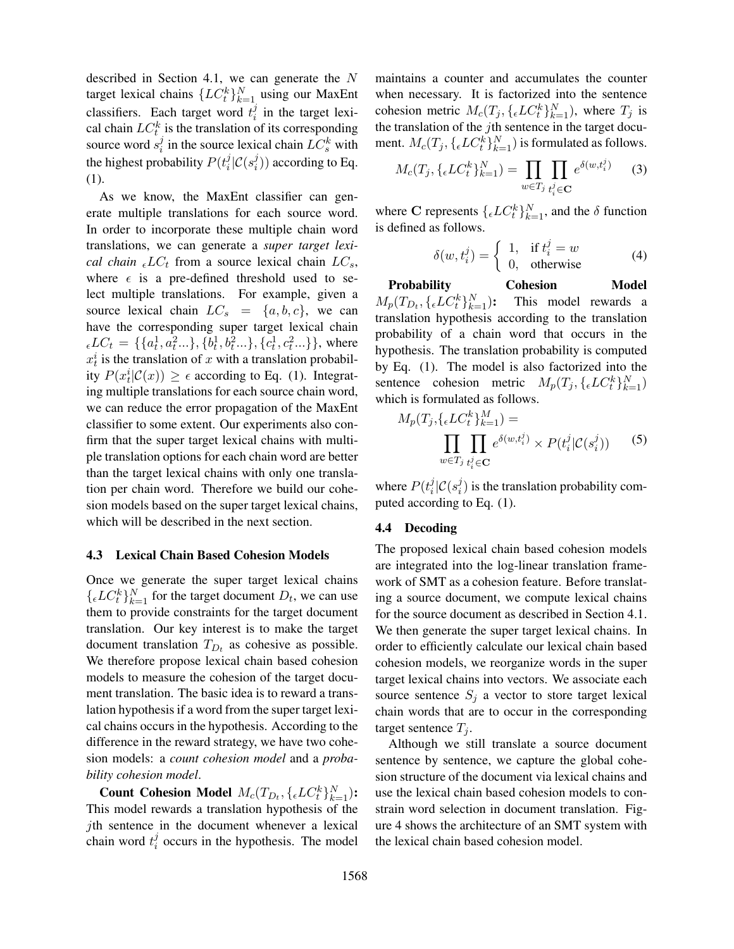described in Section 4.1, we can generate the N target lexical chains  $\{LC_t^k\}_{k=1}^N$  using our MaxEnt classifiers. Each target word  $t_i^j$  $\frac{J}{i}$  in the target lexical chain  $LC_t^k$  is the translation of its corresponding source word  $s_i^j$  $i$  in the source lexical chain  $LC_s^k$  with the highest probability  $P(t_i^j)$  $\frac{j}{i}|\mathcal{C}(s_i^j)$  $\binom{J}{i}$ ) according to Eq. (1).

As we know, the MaxEnt classifier can generate multiple translations for each source word. In order to incorporate these multiple chain word translations, we can generate a *super target lexical chain*  $_{\epsilon} LC_t$  from a source lexical chain  $LC_s$ , where  $\epsilon$  is a pre-defined threshold used to select multiple translations. For example, given a source lexical chain  $LC_s = \{a, b, c\}$ , we can have the corresponding super target lexical chain  $_{\epsilon}LC_{t} = \{\{a_{t}^{1}, a_{t}^{2}...\}, \{b_{t}^{1}, b_{t}^{2}...\}, \{c_{t}^{1}, c_{t}^{2}...\}\},\$  where  $x_t^i$  is the translation of x with a translation probability  $P(x_t^i|\mathcal{C}(x)) \geq \epsilon$  according to Eq. (1). Integrating multiple translations for each source chain word, we can reduce the error propagation of the MaxEnt classifier to some extent. Our experiments also confirm that the super target lexical chains with multiple translation options for each chain word are better than the target lexical chains with only one translation per chain word. Therefore we build our cohesion models based on the super target lexical chains, which will be described in the next section.

#### 4.3 Lexical Chain Based Cohesion Models

Once we generate the super target lexical chains  ${L}{C_t^k}_{k=1}^N$  for the target document  $D_t$ , we can use them to provide constraints for the target document translation. Our key interest is to make the target document translation  $T_{D_t}$  as cohesive as possible. We therefore propose lexical chain based cohesion models to measure the cohesion of the target document translation. The basic idea is to reward a translation hypothesis if a word from the super target lexical chains occurs in the hypothesis. According to the difference in the reward strategy, we have two cohesion models: a *count cohesion model* and a *probability cohesion model*.

Count Cohesion Model  $M_c(T_{D_t}, \{\epsilon L C_t^k\}_{k=1}^N)$ : This model rewards a translation hypothesis of the jth sentence in the document whenever a lexical chain word  $t_i^j$  $i$  occurs in the hypothesis. The model

maintains a counter and accumulates the counter when necessary. It is factorized into the sentence cohesion metric  $M_c(T_j, \{ \epsilon L C_t^k \}_{k=1}^N)$ , where  $T_j$  is the translation of the  $j$ th sentence in the target document.  $M_c(T_j, \{{}_{\epsilon}LC^k_t\}_{k=1}^N)$  is formulated as follows.

$$
M_c(T_j, \{_{\epsilon}LC_t^k\}_{k=1}^N) = \prod_{w \in T_j} \prod_{t_i^j \in \mathbf{C}} e^{\delta(w, t_i^j)} \qquad (3)
$$

where C represents  $\{ \epsilon L C_t^k \}_{k=1}^N$ , and the  $\delta$  function is defined as follows.

$$
\delta(w, t_i^j) = \begin{cases} 1, & \text{if } t_i^j = w \\ 0, & \text{otherwise} \end{cases}
$$
 (4)

Probability Cohesion Model  $M_p(T_{D_t},\{\epsilon L C^k_t\}_{k:}^N$ This model rewards a translation hypothesis according to the translation probability of a chain word that occurs in the hypothesis. The translation probability is computed by Eq. (1). The model is also factorized into the sentence cohesion metric  $M_p(T_j, \{ \epsilon L C_t^k \}_{k=1}^N)$ which is formulated as follows.

$$
M_p(T_j, \{{}_{\epsilon}LC_t^k\}_{k=1}^M) = \prod_{w \in T_j} \prod_{t_i^j \in \mathbf{C}} e^{\delta(w, t_i^j)} \times P(t_i^j | \mathcal{C}(s_i^j)) \tag{5}
$$

where  $P(t_i^j)$  $\frac{j}{i}|\mathcal{C}(s_i^j)$  $i$ ) is the translation probability computed according to Eq. (1).

#### 4.4 Decoding

The proposed lexical chain based cohesion models are integrated into the log-linear translation framework of SMT as a cohesion feature. Before translating a source document, we compute lexical chains for the source document as described in Section 4.1. We then generate the super target lexical chains. In order to efficiently calculate our lexical chain based cohesion models, we reorganize words in the super target lexical chains into vectors. We associate each source sentence  $S_j$  a vector to store target lexical chain words that are to occur in the corresponding target sentence  $T_i$ .

Although we still translate a source document sentence by sentence, we capture the global cohesion structure of the document via lexical chains and use the lexical chain based cohesion models to constrain word selection in document translation. Figure 4 shows the architecture of an SMT system with the lexical chain based cohesion model.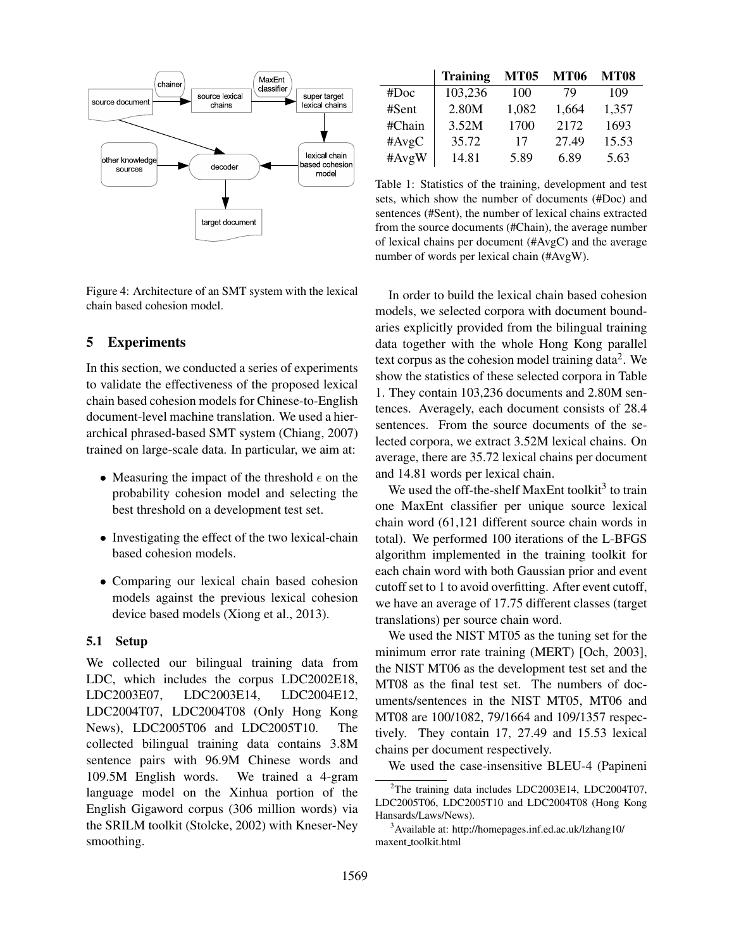

Figure 4: Architecture of an SMT system with the lexical chain based cohesion model.

# 5 Experiments

In this section, we conducted a series of experiments to validate the effectiveness of the proposed lexical chain based cohesion models for Chinese-to-English document-level machine translation. We used a hierarchical phrased-based SMT system (Chiang, 2007) trained on large-scale data. In particular, we aim at:

- Measuring the impact of the threshold  $\epsilon$  on the probability cohesion model and selecting the best threshold on a development test set.
- Investigating the effect of the two lexical-chain based cohesion models.
- Comparing our lexical chain based cohesion models against the previous lexical cohesion device based models (Xiong et al., 2013).

#### 5.1 Setup

We collected our bilingual training data from LDC, which includes the corpus LDC2002E18, LDC2003E07, LDC2003E14, LDC2004E12, LDC2004T07, LDC2004T08 (Only Hong Kong News), LDC2005T06 and LDC2005T10. The collected bilingual training data contains 3.8M sentence pairs with 96.9M Chinese words and 109.5M English words. We trained a 4-gram language model on the Xinhua portion of the English Gigaword corpus (306 million words) via the SRILM toolkit (Stolcke, 2002) with Kneser-Ney smoothing.

|          | <b>Training</b> | <b>MT05</b> | <b>MT06</b> | <b>MT08</b> |
|----------|-----------------|-------------|-------------|-------------|
| #Doc     | 103,236         | 100         | 79          | 109         |
| #Sent    | 2.80M           | 1,082       | 1,664       | 1,357       |
| #Chain   | 3.52M           | 1700        | 2172        | 1693        |
| $\#AvgC$ | 35.72           | 17          | 27.49       | 15.53       |
| #AvgW    | 14.81           | 5.89        | 6.89        | 5.63        |

Table 1: Statistics of the training, development and test sets, which show the number of documents (#Doc) and sentences (#Sent), the number of lexical chains extracted from the source documents (#Chain), the average number of lexical chains per document (#AvgC) and the average number of words per lexical chain (#AvgW).

In order to build the lexical chain based cohesion models, we selected corpora with document boundaries explicitly provided from the bilingual training data together with the whole Hong Kong parallel text corpus as the cohesion model training data<sup>2</sup>. We show the statistics of these selected corpora in Table 1. They contain 103,236 documents and 2.80M sentences. Averagely, each document consists of 28.4 sentences. From the source documents of the selected corpora, we extract 3.52M lexical chains. On average, there are 35.72 lexical chains per document and 14.81 words per lexical chain.

We used the off-the-shelf MaxEnt toolkit<sup>3</sup> to train one MaxEnt classifier per unique source lexical chain word (61,121 different source chain words in total). We performed 100 iterations of the L-BFGS algorithm implemented in the training toolkit for each chain word with both Gaussian prior and event cutoff set to 1 to avoid overfitting. After event cutoff, we have an average of 17.75 different classes (target translations) per source chain word.

We used the NIST MT05 as the tuning set for the minimum error rate training (MERT) [Och, 2003], the NIST MT06 as the development test set and the MT08 as the final test set. The numbers of documents/sentences in the NIST MT05, MT06 and MT08 are 100/1082, 79/1664 and 109/1357 respectively. They contain 17, 27.49 and 15.53 lexical chains per document respectively.

We used the case-insensitive BLEU-4 (Papineni

<sup>&</sup>lt;sup>2</sup>The training data includes LDC2003E14, LDC2004T07, LDC2005T06, LDC2005T10 and LDC2004T08 (Hong Kong Hansards/Laws/News).

<sup>3</sup>Available at: http://homepages.inf.ed.ac.uk/lzhang10/ maxent toolkit.html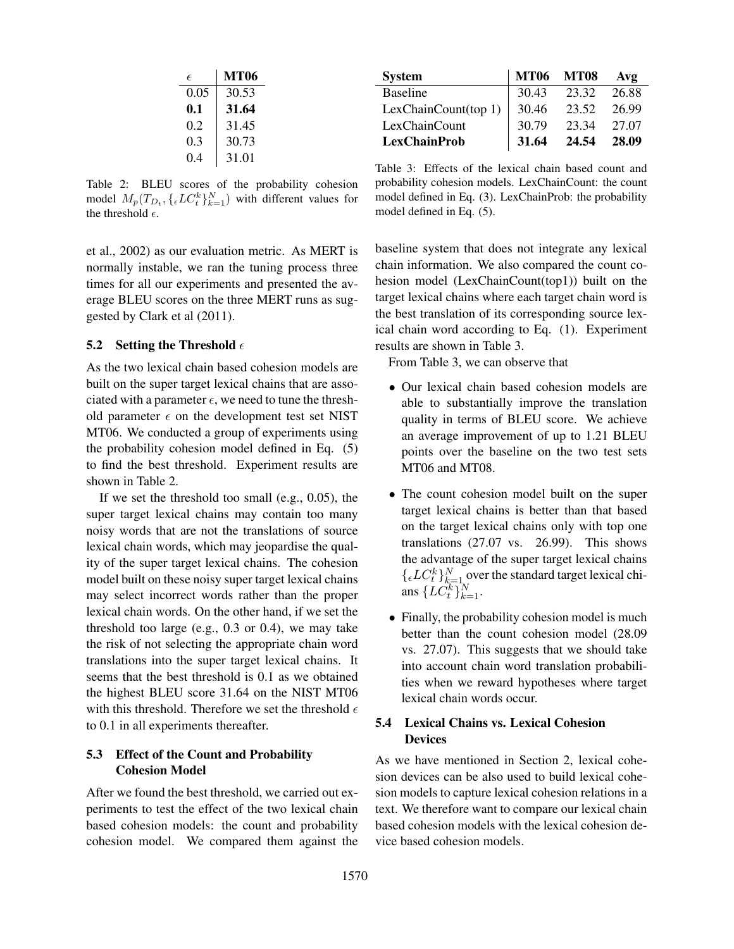| E    | MT06  |
|------|-------|
| 0.05 | 30.53 |
| 0.1  | 31.64 |
| 0.2  | 31.45 |
| 0.3  | 30.73 |
| 0.4  | 31.01 |

Table 2: BLEU scores of the probability cohesion model  $M_p(T_{D_t}, \{\epsilon L C_t^k\}_{k=1}^N)$  with different values for the threshold  $\epsilon$ .

et al., 2002) as our evaluation metric. As MERT is normally instable, we ran the tuning process three times for all our experiments and presented the average BLEU scores on the three MERT runs as suggested by Clark et al (2011).

### 5.2 Setting the Threshold  $\epsilon$

As the two lexical chain based cohesion models are built on the super target lexical chains that are associated with a parameter  $\epsilon$ , we need to tune the threshold parameter  $\epsilon$  on the development test set NIST MT06. We conducted a group of experiments using the probability cohesion model defined in Eq. (5) to find the best threshold. Experiment results are shown in Table 2.

If we set the threshold too small (e.g., 0.05), the super target lexical chains may contain too many noisy words that are not the translations of source lexical chain words, which may jeopardise the quality of the super target lexical chains. The cohesion model built on these noisy super target lexical chains may select incorrect words rather than the proper lexical chain words. On the other hand, if we set the threshold too large (e.g., 0.3 or 0.4), we may take the risk of not selecting the appropriate chain word translations into the super target lexical chains. It seems that the best threshold is 0.1 as we obtained the highest BLEU score 31.64 on the NIST MT06 with this threshold. Therefore we set the threshold  $\epsilon$ to 0.1 in all experiments thereafter.

# 5.3 Effect of the Count and Probability Cohesion Model

After we found the best threshold, we carried out experiments to test the effect of the two lexical chain based cohesion models: the count and probability cohesion model. We compared them against the

| <b>System</b>        |       | <b>MT06 MT08</b> | Avg   |
|----------------------|-------|------------------|-------|
| <b>Baseline</b>      | 30.43 | 23.32            | 26.88 |
| LexChainCount(top 1) | 30.46 | 23.52            | 26.99 |
| LexChainCount        | 30.79 | 23.34            | 27.07 |
| <b>LexChainProb</b>  | 31.64 | 24.54            | 28.09 |

Table 3: Effects of the lexical chain based count and probability cohesion models. LexChainCount: the count model defined in Eq. (3). LexChainProb: the probability model defined in Eq. (5).

baseline system that does not integrate any lexical chain information. We also compared the count cohesion model (LexChainCount(top1)) built on the target lexical chains where each target chain word is the best translation of its corresponding source lexical chain word according to Eq. (1). Experiment results are shown in Table 3.

From Table 3, we can observe that

- Our lexical chain based cohesion models are able to substantially improve the translation quality in terms of BLEU score. We achieve an average improvement of up to 1.21 BLEU points over the baseline on the two test sets MT06 and MT08.
- The count cohesion model built on the super target lexical chains is better than that based on the target lexical chains only with top one translations (27.07 vs. 26.99). This shows the advantage of the super target lexical chains  ${L}{C_t^k}_{k=1}^N$  over the standard target lexical chians  $\{LC_{t}^{k}\}_{k=1}^{N}$ .
- Finally, the probability cohesion model is much better than the count cohesion model (28.09 vs. 27.07). This suggests that we should take into account chain word translation probabilities when we reward hypotheses where target lexical chain words occur.

# 5.4 Lexical Chains vs. Lexical Cohesion **Devices**

As we have mentioned in Section 2, lexical cohesion devices can be also used to build lexical cohesion models to capture lexical cohesion relations in a text. We therefore want to compare our lexical chain based cohesion models with the lexical cohesion device based cohesion models.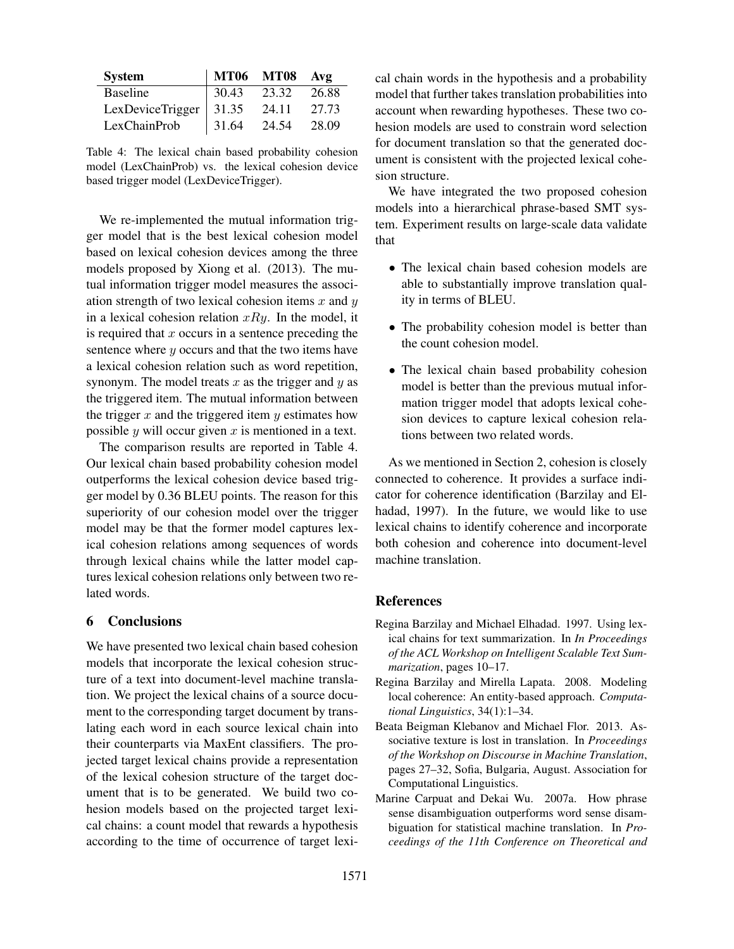| <b>System</b>              |       | MT06 MT08 Avg |       |
|----------------------------|-------|---------------|-------|
| <b>Baseline</b>            | 30.43 | 23.32         | 26.88 |
| LexDeviceTrigger   $31.35$ |       | 24.11         | 27.73 |
| LexChainProb               | 31.64 | 24.54         | 28.09 |

Table 4: The lexical chain based probability cohesion model (LexChainProb) vs. the lexical cohesion device based trigger model (LexDeviceTrigger).

We re-implemented the mutual information trigger model that is the best lexical cohesion model based on lexical cohesion devices among the three models proposed by Xiong et al. (2013). The mutual information trigger model measures the association strength of two lexical cohesion items  $x$  and  $y$ in a lexical cohesion relation  $xRy$ . In the model, it is required that  $x$  occurs in a sentence preceding the sentence where  $y$  occurs and that the two items have a lexical cohesion relation such as word repetition, synonym. The model treats  $x$  as the trigger and  $y$  as the triggered item. The mutual information between the trigger  $x$  and the triggered item  $y$  estimates how possible  $y$  will occur given  $x$  is mentioned in a text.

The comparison results are reported in Table 4. Our lexical chain based probability cohesion model outperforms the lexical cohesion device based trigger model by 0.36 BLEU points. The reason for this superiority of our cohesion model over the trigger model may be that the former model captures lexical cohesion relations among sequences of words through lexical chains while the latter model captures lexical cohesion relations only between two related words.

# 6 Conclusions

We have presented two lexical chain based cohesion models that incorporate the lexical cohesion structure of a text into document-level machine translation. We project the lexical chains of a source document to the corresponding target document by translating each word in each source lexical chain into their counterparts via MaxEnt classifiers. The projected target lexical chains provide a representation of the lexical cohesion structure of the target document that is to be generated. We build two cohesion models based on the projected target lexical chains: a count model that rewards a hypothesis according to the time of occurrence of target lexical chain words in the hypothesis and a probability model that further takes translation probabilities into account when rewarding hypotheses. These two cohesion models are used to constrain word selection for document translation so that the generated document is consistent with the projected lexical cohesion structure.

We have integrated the two proposed cohesion models into a hierarchical phrase-based SMT system. Experiment results on large-scale data validate that

- The lexical chain based cohesion models are able to substantially improve translation quality in terms of BLEU.
- The probability cohesion model is better than the count cohesion model.
- The lexical chain based probability cohesion model is better than the previous mutual information trigger model that adopts lexical cohesion devices to capture lexical cohesion relations between two related words.

As we mentioned in Section 2, cohesion is closely connected to coherence. It provides a surface indicator for coherence identification (Barzilay and Elhadad, 1997). In the future, we would like to use lexical chains to identify coherence and incorporate both cohesion and coherence into document-level machine translation.

### References

- Regina Barzilay and Michael Elhadad. 1997. Using lexical chains for text summarization. In *In Proceedings of the ACL Workshop on Intelligent Scalable Text Summarization*, pages 10–17.
- Regina Barzilay and Mirella Lapata. 2008. Modeling local coherence: An entity-based approach. *Computational Linguistics*, 34(1):1–34.
- Beata Beigman Klebanov and Michael Flor. 2013. Associative texture is lost in translation. In *Proceedings of the Workshop on Discourse in Machine Translation*, pages 27–32, Sofia, Bulgaria, August. Association for Computational Linguistics.
- Marine Carpuat and Dekai Wu. 2007a. How phrase sense disambiguation outperforms word sense disambiguation for statistical machine translation. In *Proceedings of the 11th Conference on Theoretical and*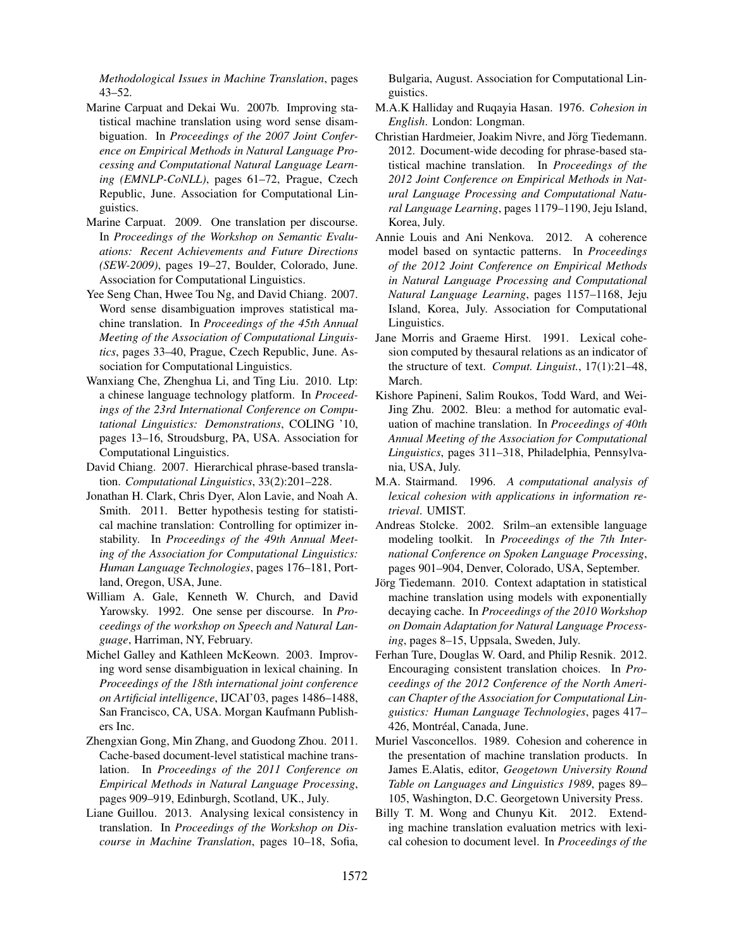*Methodological Issues in Machine Translation*, pages 43–52.

- Marine Carpuat and Dekai Wu. 2007b. Improving statistical machine translation using word sense disambiguation. In *Proceedings of the 2007 Joint Conference on Empirical Methods in Natural Language Processing and Computational Natural Language Learning (EMNLP-CoNLL)*, pages 61–72, Prague, Czech Republic, June. Association for Computational Linguistics.
- Marine Carpuat. 2009. One translation per discourse. In *Proceedings of the Workshop on Semantic Evaluations: Recent Achievements and Future Directions (SEW-2009)*, pages 19–27, Boulder, Colorado, June. Association for Computational Linguistics.
- Yee Seng Chan, Hwee Tou Ng, and David Chiang. 2007. Word sense disambiguation improves statistical machine translation. In *Proceedings of the 45th Annual Meeting of the Association of Computational Linguistics*, pages 33–40, Prague, Czech Republic, June. Association for Computational Linguistics.
- Wanxiang Che, Zhenghua Li, and Ting Liu. 2010. Ltp: a chinese language technology platform. In *Proceedings of the 23rd International Conference on Computational Linguistics: Demonstrations*, COLING '10, pages 13–16, Stroudsburg, PA, USA. Association for Computational Linguistics.
- David Chiang. 2007. Hierarchical phrase-based translation. *Computational Linguistics*, 33(2):201–228.
- Jonathan H. Clark, Chris Dyer, Alon Lavie, and Noah A. Smith. 2011. Better hypothesis testing for statistical machine translation: Controlling for optimizer instability. In *Proceedings of the 49th Annual Meeting of the Association for Computational Linguistics: Human Language Technologies*, pages 176–181, Portland, Oregon, USA, June.
- William A. Gale, Kenneth W. Church, and David Yarowsky. 1992. One sense per discourse. In *Proceedings of the workshop on Speech and Natural Language*, Harriman, NY, February.
- Michel Galley and Kathleen McKeown. 2003. Improving word sense disambiguation in lexical chaining. In *Proceedings of the 18th international joint conference on Artificial intelligence*, IJCAI'03, pages 1486–1488, San Francisco, CA, USA. Morgan Kaufmann Publishers Inc.
- Zhengxian Gong, Min Zhang, and Guodong Zhou. 2011. Cache-based document-level statistical machine translation. In *Proceedings of the 2011 Conference on Empirical Methods in Natural Language Processing*, pages 909–919, Edinburgh, Scotland, UK., July.
- Liane Guillou. 2013. Analysing lexical consistency in translation. In *Proceedings of the Workshop on Discourse in Machine Translation*, pages 10–18, Sofia,

Bulgaria, August. Association for Computational Linguistics.

- M.A.K Halliday and Ruqayia Hasan. 1976. *Cohesion in English*. London: Longman.
- Christian Hardmeier, Joakim Nivre, and Jörg Tiedemann. 2012. Document-wide decoding for phrase-based statistical machine translation. In *Proceedings of the 2012 Joint Conference on Empirical Methods in Natural Language Processing and Computational Natural Language Learning*, pages 1179–1190, Jeju Island, Korea, July.
- Annie Louis and Ani Nenkova. 2012. A coherence model based on syntactic patterns. In *Proceedings of the 2012 Joint Conference on Empirical Methods in Natural Language Processing and Computational Natural Language Learning*, pages 1157–1168, Jeju Island, Korea, July. Association for Computational Linguistics.
- Jane Morris and Graeme Hirst. 1991. Lexical cohesion computed by thesaural relations as an indicator of the structure of text. *Comput. Linguist.*, 17(1):21–48, March.
- Kishore Papineni, Salim Roukos, Todd Ward, and Wei-Jing Zhu. 2002. Bleu: a method for automatic evaluation of machine translation. In *Proceedings of 40th Annual Meeting of the Association for Computational Linguistics*, pages 311–318, Philadelphia, Pennsylvania, USA, July.
- M.A. Stairmand. 1996. *A computational analysis of lexical cohesion with applications in information retrieval*. UMIST.
- Andreas Stolcke. 2002. Srilm–an extensible language modeling toolkit. In *Proceedings of the 7th International Conference on Spoken Language Processing*, pages 901–904, Denver, Colorado, USA, September.
- Jörg Tiedemann. 2010. Context adaptation in statistical machine translation using models with exponentially decaying cache. In *Proceedings of the 2010 Workshop on Domain Adaptation for Natural Language Processing*, pages 8–15, Uppsala, Sweden, July.
- Ferhan Ture, Douglas W. Oard, and Philip Resnik. 2012. Encouraging consistent translation choices. In *Proceedings of the 2012 Conference of the North American Chapter of the Association for Computational Linguistics: Human Language Technologies*, pages 417– 426, Montréal, Canada, June.
- Muriel Vasconcellos. 1989. Cohesion and coherence in the presentation of machine translation products. In James E.Alatis, editor, *Geogetown University Round Table on Languages and Linguistics 1989*, pages 89– 105, Washington, D.C. Georgetown University Press.
- Billy T. M. Wong and Chunyu Kit. 2012. Extending machine translation evaluation metrics with lexical cohesion to document level. In *Proceedings of the*